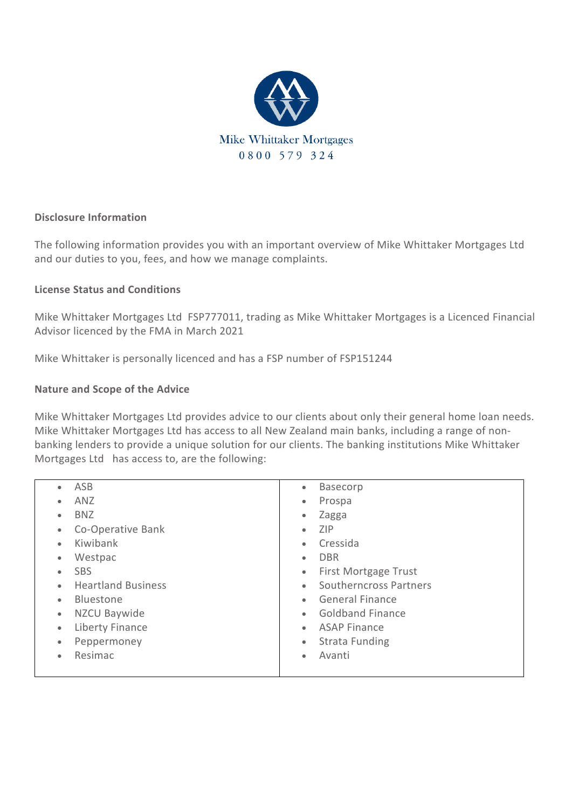

# **Disclosure Information**

The following information provides you with an important overview of Mike Whittaker Mortgages Ltd and our duties to you, fees, and how we manage complaints.

# **License Status and Conditions**

Mike Whittaker Mortgages Ltd FSP777011, trading as Mike Whittaker Mortgages is a Licenced Financial Advisor licenced by the FMA in March 2021

Mike Whittaker is personally licenced and has a FSP number of FSP151244

# **Nature and Scope of the Advice**

Mike Whittaker Mortgages Ltd provides advice to our clients about only their general home loan needs. Mike Whittaker Mortgages Ltd has access to all New Zealand main banks, including a range of nonbanking lenders to provide a unique solution for our clients. The banking institutions Mike Whittaker Mortgages Ltd has access to, are the following:

| ASB                       | <b>Basecorp</b>             |
|---------------------------|-----------------------------|
| ۰                         | $\bullet$                   |
| <b>ANZ</b>                | Prospa                      |
| $\bullet$                 | $\bullet$                   |
| <b>BNZ</b>                | Zagga                       |
| ۰                         | $\bullet$                   |
| Co-Operative Bank         | <b>ZIP</b>                  |
| $\bullet$                 | $\bullet$                   |
| Kiwibank                  | Cressida                    |
| $\bullet$                 | $\bullet$                   |
| Westpac                   | <b>DBR</b>                  |
| $\bullet$                 | $\bullet$                   |
| <b>SBS</b>                | <b>First Mortgage Trust</b> |
| ۰                         | $\bullet$                   |
| <b>Heartland Business</b> | Southerncross Partners      |
| $\bullet$                 | $\bullet$                   |
| <b>Bluestone</b>          | <b>General Finance</b>      |
| $\bullet$                 | $\bullet$                   |
| NZCU Baywide              | <b>Goldband Finance</b>     |
| $\bullet$                 | $\bullet$                   |
| Liberty Finance           | <b>ASAP Finance</b>         |
| $\bullet$                 | $\bullet$                   |
| Peppermoney               | <b>Strata Funding</b>       |
| $\bullet$                 | $\bullet$                   |
| Resimac                   | Avanti                      |
| ۰                         | $\bullet$                   |
|                           |                             |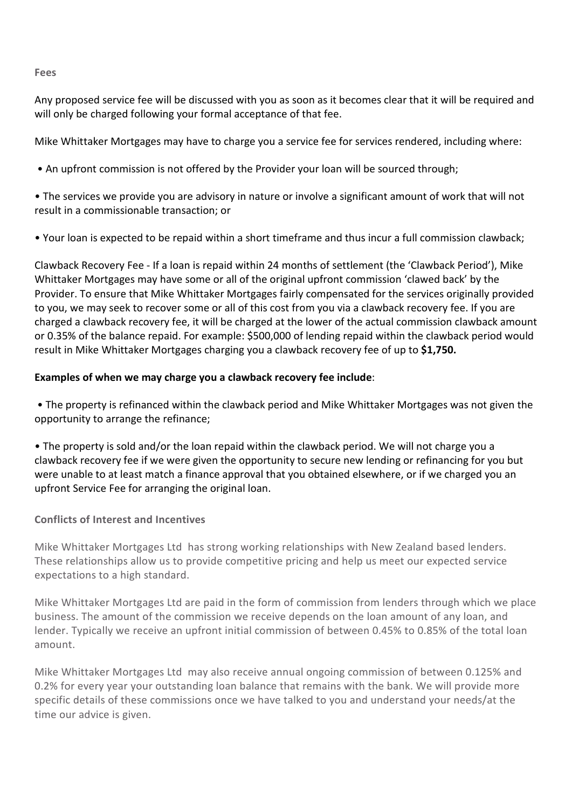#### **Fees**

Any proposed service fee will be discussed with you as soon as it becomes clear that it will be required and will only be charged following your formal acceptance of that fee.

Mike Whittaker Mortgages may have to charge you a service fee for services rendered, including where:

• An upfront commission is not offered by the Provider your loan will be sourced through;

• The services we provide you are advisory in nature or involve a significant amount of work that will not result in a commissionable transaction; or

• Your loan is expected to be repaid within a short timeframe and thus incur a full commission clawback;

Clawback Recovery Fee - If a loan is repaid within 24 months of settlement (the 'Clawback Period'), Mike Whittaker Mortgages may have some or all of the original upfront commission 'clawed back' by the Provider. To ensure that Mike Whittaker Mortgages fairly compensated for the services originally provided to you, we may seek to recover some or all of this cost from you via a clawback recovery fee. If you are charged a clawback recovery fee, it will be charged at the lower of the actual commission clawback amount or 0.35% of the balance repaid. For example: \$500,000 of lending repaid within the clawback period would result in Mike Whittaker Mortgages charging you a clawback recovery fee of up to **\$1,750.** 

# **Examples of when we may charge you a clawback recovery fee include**:

• The property is refinanced within the clawback period and Mike Whittaker Mortgages was not given the opportunity to arrange the refinance;

• The property is sold and/or the loan repaid within the clawback period. We will not charge you a clawback recovery fee if we were given the opportunity to secure new lending or refinancing for you but were unable to at least match a finance approval that you obtained elsewhere, or if we charged you an upfront Service Fee for arranging the original loan.

# **Conflicts of Interest and Incentives**

Mike Whittaker Mortgages Ltd has strong working relationships with New Zealand based lenders. These relationships allow us to provide competitive pricing and help us meet our expected service expectations to a high standard.

Mike Whittaker Mortgages Ltd are paid in the form of commission from lenders through which we place business. The amount of the commission we receive depends on the loan amount of any loan, and lender. Typically we receive an upfront initial commission of between 0.45% to 0.85% of the total loan amount.

Mike Whittaker Mortgages Ltd may also receive annual ongoing commission of between 0.125% and 0.2% for every year your outstanding loan balance that remains with the bank. We will provide more specific details of these commissions once we have talked to you and understand your needs/at the time our advice is given.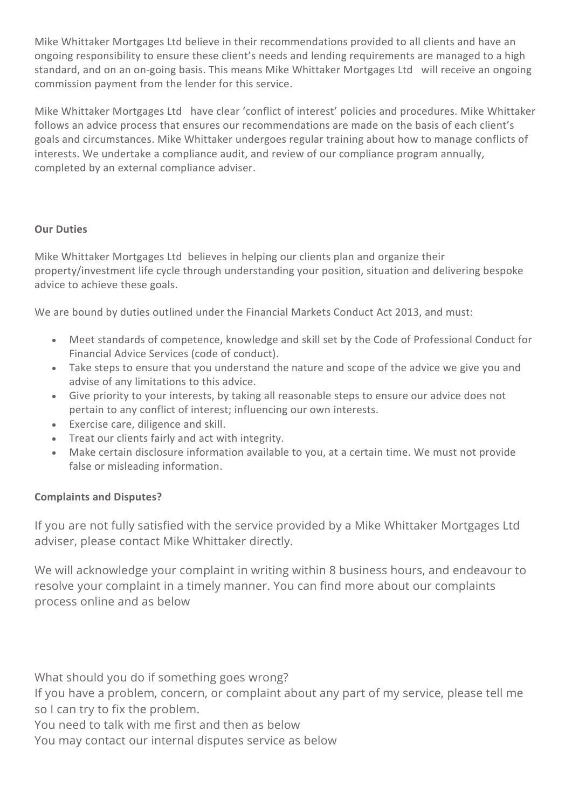Mike Whittaker Mortgages Ltd believe in their recommendations provided to all clients and have an ongoing responsibility to ensure these client's needs and lending requirements are managed to a high standard, and on an on-going basis. This means Mike Whittaker Mortgages Ltd will receive an ongoing commission payment from the lender for this service.

Mike Whittaker Mortgages Ltd have clear 'conflict of interest' policies and procedures. Mike Whittaker follows an advice process that ensures our recommendations are made on the basis of each client's goals and circumstances. Mike Whittaker undergoes regular training about how to manage conflicts of interests. We undertake a compliance audit, and review of our compliance program annually, completed by an external compliance adviser.

# **Our Duties**

Mike Whittaker Mortgages Ltd believes in helping our clients plan and organize their property/investment life cycle through understanding your position, situation and delivering bespoke advice to achieve these goals.

We are bound by duties outlined under the Financial Markets Conduct Act 2013, and must:

- Meet standards of competence, knowledge and skill set by the Code of Professional Conduct for Financial Advice Services (code of conduct).
- Take steps to ensure that you understand the nature and scope of the advice we give you and advise of any limitations to this advice.
- Give priority to your interests, by taking all reasonable steps to ensure our advice does not pertain to any conflict of interest; influencing our own interests.
- Exercise care, diligence and skill.
- Treat our clients fairly and act with integrity.
- Make certain disclosure information available to you, at a certain time. We must not provide false or misleading information.

# **Complaints and Disputes?**

If you are not fully satisfied with the service provided by a Mike Whittaker Mortgages Ltd adviser, please contact Mike Whittaker directly.

We will acknowledge your complaint in writing within 8 business hours, and endeavour to resolve your complaint in a timely manner. You can find more about our complaints process online and as below

What should you do if something goes wrong?

If you have a problem, concern, or complaint about any part of my service, please tell me so I can try to fix the problem.

You need to talk with me first and then as below

You may contact our internal disputes service as below